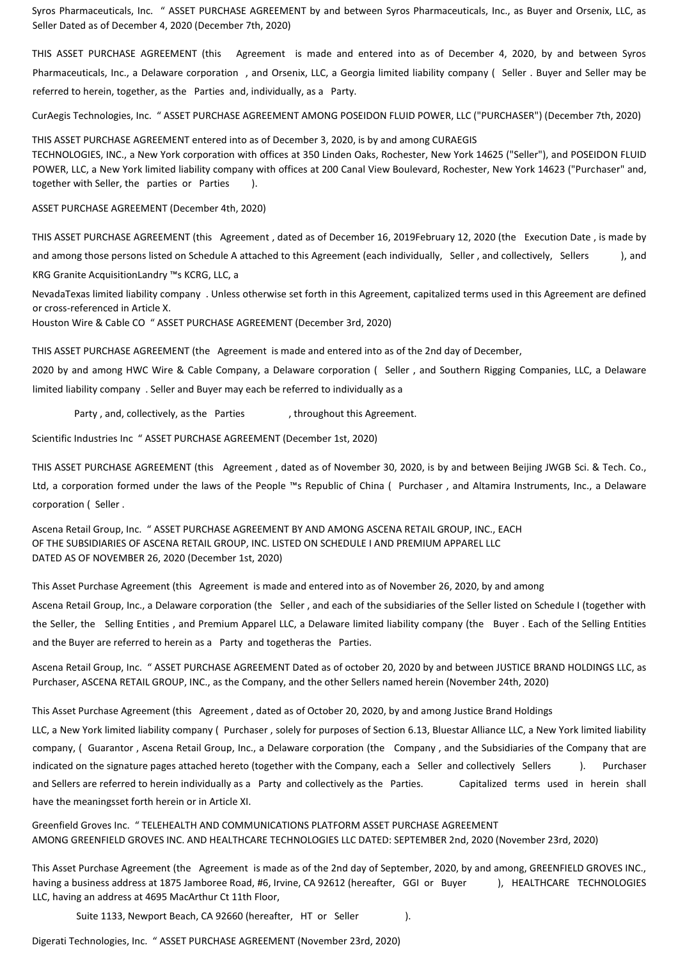Syros Pharmaceuticals, Inc. " ASSET PURCHASE AGREEMENT by and between Syros Pharmaceuticals, Inc., as Buyer and Orsenix, LLC, as Seller Dated as of December 4, 2020 (December 7th, 2020)

THIS ASSET PURCHASE AGREEMENT (this Agreement is made and entered into as of December 4, 2020, by and between Syros Pharmaceuticals, Inc., a Delaware corporation , and Orsenix, LLC, a Georgia limited liability company ( Seller . Buyer and Seller may be referred to herein, together, as the Parties and, individually, as a Party.

CurAegis Technologies, Inc. " ASSET PURCHASE AGREEMENT AMONG POSEIDON FLUID POWER, LLC ("PURCHASER") (December 7th, 2020)

THIS ASSET PURCHASE AGREEMENT entered into as of December 3, 2020, is by and among CURAEGIS TECHNOLOGIES, INC., a New York corporation with offices at 350 Linden Oaks, Rochester, New York 14625 ("Seller"), and POSEIDON FLUID POWER, LLC, a New York limited liability company with offices at 200 Canal View Boulevard, Rochester, New York 14623 ("Purchaser" and, together with Seller, the parties or Parties ).

ASSET PURCHASE AGREEMENT (December 4th, 2020)

THIS ASSET PURCHASE AGREEMENT (this Agreement , dated as of December 16, 2019February 12, 2020 (the Execution Date , is made by and among those persons listed on Schedule A attached to this Agreement (each individually, Seller , and collectively, Sellers ), and KRG Granite AcquisitionLandry ™s KCRG, LLC, a

NevadaTexas limited liability company . Unless otherwise set forth in this Agreement, capitalized terms used in this Agreement are defined or cross-referenced in Article X.

Houston Wire & Cable CO " ASSET PURCHASE AGREEMENT (December 3rd, 2020)

THIS ASSET PURCHASE AGREEMENT (the Agreement is made and entered into as of the 2nd day of December,

2020 by and among HWC Wire & Cable Company, a Delaware corporation ( Seller , and Southern Rigging Companies, LLC, a Delaware limited liability company . Seller and Buyer may each be referred to individually as a

Party, and, collectively, as the Parties , throughout this Agreement.

Scientific Industries Inc " ASSET PURCHASE AGREEMENT (December 1st, 2020)

THIS ASSET PURCHASE AGREEMENT (this Agreement , dated as of November 30, 2020, is by and between Beijing JWGB Sci. & Tech. Co., Ltd, a corporation formed under the laws of the People ™s Republic of China ( Purchaser , and Altamira Instruments, Inc., a Delaware corporation ( Seller .

Ascena Retail Group, Inc. " ASSET PURCHASE AGREEMENT BY AND AMONG ASCENA RETAIL GROUP, INC., EACH OF THE SUBSIDIARIES OF ASCENA RETAIL GROUP, INC. LISTED ON SCHEDULE I AND PREMIUM APPAREL LLC DATED AS OF NOVEMBER 26, 2020 (December 1st, 2020)

This Asset Purchase Agreement (this Agreement is made and entered into as of November 26, 2020, by and among Ascena Retail Group, Inc., a Delaware corporation (the Seller , and each of the subsidiaries of the Seller listed on Schedule I (together with the Seller, the Selling Entities , and Premium Apparel LLC, a Delaware limited liability company (the Buyer . Each of the Selling Entities and the Buyer are referred to herein as a Party and togetheras the Parties.

Ascena Retail Group, Inc. " ASSET PURCHASE AGREEMENT Dated as of october 20, 2020 by and between JUSTICE BRAND HOLDINGS LLC, as Purchaser, ASCENA RETAIL GROUP, INC., as the Company, and the other Sellers named herein (November 24th, 2020)

This Asset Purchase Agreement (this Agreement , dated as of October 20, 2020, by and among Justice Brand Holdings

LLC, a New York limited liability company ( Purchaser , solely for purposes of Section 6.13, Bluestar Alliance LLC, a New York limited liability company, ( Guarantor , Ascena Retail Group, Inc., a Delaware corporation (the Company , and the Subsidiaries of the Company that are indicated on the signature pages attached hereto (together with the Company, each a Seller and collectively Sellers ). Purchaser and Sellers are referred to herein individually as a Party and collectively as the Parties. Capitalized terms used in herein shall have the meaningsset forth herein or in Article XI.

Greenfield Groves Inc. " TELEHEALTH AND COMMUNICATIONS PLATFORM ASSET PURCHASE AGREEMENT AMONG GREENFIELD GROVES INC. AND HEALTHCARE TECHNOLOGIES LLC DATED: SEPTEMBER 2nd, 2020 (November 23rd, 2020)

This Asset Purchase Agreement (the Agreement is made as of the 2nd day of September, 2020, by and among, GREENFIELD GROVES INC., having a business address at 1875 Jamboree Road, #6, Irvine, CA 92612 (hereafter, GGI or Buyer ), HEALTHCARE TECHNOLOGIES LLC, having an address at 4695 MacArthur Ct 11th Floor,

Suite 1133, Newport Beach, CA 92660 (hereafter, HT or Seller ).

Digerati Technologies, Inc. " ASSET PURCHASE AGREEMENT (November 23rd, 2020)